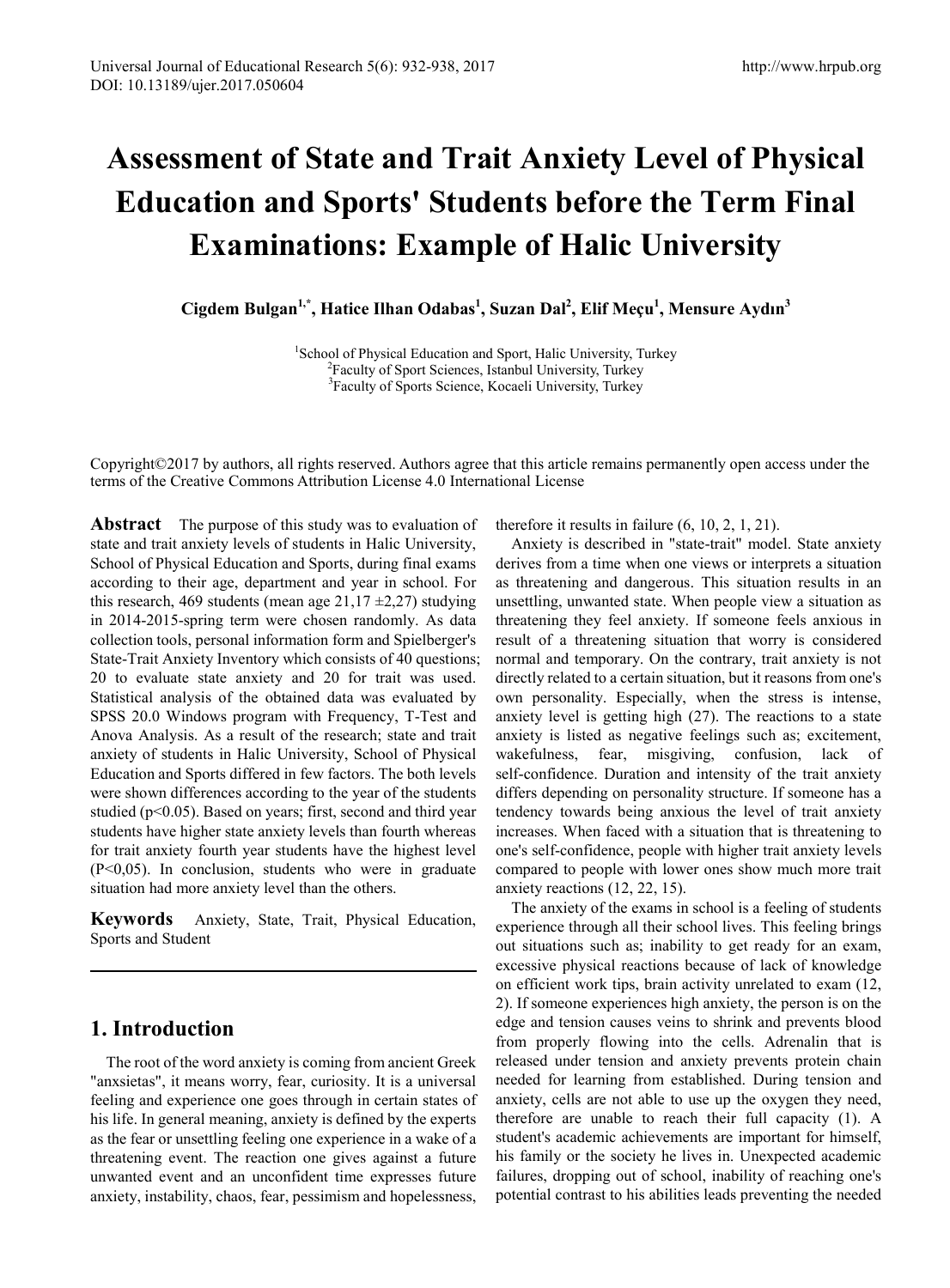# **Assessment of State and Trait Anxiety Level of Physical Education and Sports' Students before the Term Final Examinations: Example of Halic University**

**Cigdem Bulgan1,\*, Hatice Ilhan Odabas1 , Suzan Dal2 , Elif Meçu1 , Mensure Aydın<sup>3</sup>**

<sup>1</sup>School of Physical Education and Sport, Halic University, Turkey <sup>2</sup>Faculty of Sport Sciences, Istanbul University, Turkey <sup>3</sup>Faculty of Sports Science, Kocaeli University, Turkey

Copyright©2017 by authors, all rights reserved. Authors agree that this article remains permanently open access under the terms of the Creative Commons Attribution License 4.0 International License

Abstract The purpose of this study was to evaluation of state and trait anxiety levels of students in Halic University, School of Physical Education and Sports, during final exams according to their age, department and year in school. For this research, 469 students (mean age  $21,17 \pm 2,27$ ) studying in 2014-2015-spring term were chosen randomly. As data collection tools, personal information form and Spielberger's State-Trait Anxiety Inventory which consists of 40 questions; 20 to evaluate state anxiety and 20 for trait was used. Statistical analysis of the obtained data was evaluated by SPSS 20.0 Windows program with Frequency, T-Test and Anova Analysis. As a result of the research; state and trait anxiety of students in Halic University, School of Physical Education and Sports differed in few factors. The both levels were shown differences according to the year of the students studied (p<0.05). Based on years; first, second and third year students have higher state anxiety levels than fourth whereas for trait anxiety fourth year students have the highest level  $(P<0.05)$ . In conclusion, students who were in graduate situation had more anxiety level than the others.

**Keywords** Anxiety, State, Trait, Physical Education, Sports and Student

# **1. Introduction**

The root of the word anxiety is coming from ancient Greek "anxsietas", it means worry, fear, curiosity. It is a universal feeling and experience one goes through in certain states of his life. In general meaning, anxiety is defined by the experts as the fear or unsettling feeling one experience in a wake of a threatening event. The reaction one gives against a future unwanted event and an unconfident time expresses future anxiety, instability, chaos, fear, pessimism and hopelessness,

therefore it results in failure (6, 10, 2, 1, 21).

Anxiety is described in "state-trait" model. State anxiety derives from a time when one views or interprets a situation as threatening and dangerous. This situation results in an unsettling, unwanted state. When people view a situation as threatening they feel anxiety. If someone feels anxious in result of a threatening situation that worry is considered normal and temporary. On the contrary, trait anxiety is not directly related to a certain situation, but it reasons from one's own personality. Especially, when the stress is intense, anxiety level is getting high (27). The reactions to a state anxiety is listed as negative feelings such as; excitement, wakefulness, fear, misgiving, confusion, lack of self-confidence. Duration and intensity of the trait anxiety differs depending on personality structure. If someone has a tendency towards being anxious the level of trait anxiety increases. When faced with a situation that is threatening to one's self-confidence, people with higher trait anxiety levels compared to people with lower ones show much more trait anxiety reactions (12, 22, 15).

The anxiety of the exams in school is a feeling of students experience through all their school lives. This feeling brings out situations such as; inability to get ready for an exam, excessive physical reactions because of lack of knowledge on efficient work tips, brain activity unrelated to exam (12, 2). If someone experiences high anxiety, the person is on the edge and tension causes veins to shrink and prevents blood from properly flowing into the cells. Adrenalin that is released under tension and anxiety prevents protein chain needed for learning from established. During tension and anxiety, cells are not able to use up the oxygen they need, therefore are unable to reach their full capacity (1). A student's academic achievements are important for himself, his family or the society he lives in. Unexpected academic failures, dropping out of school, inability of reaching one's potential contrast to his abilities leads preventing the needed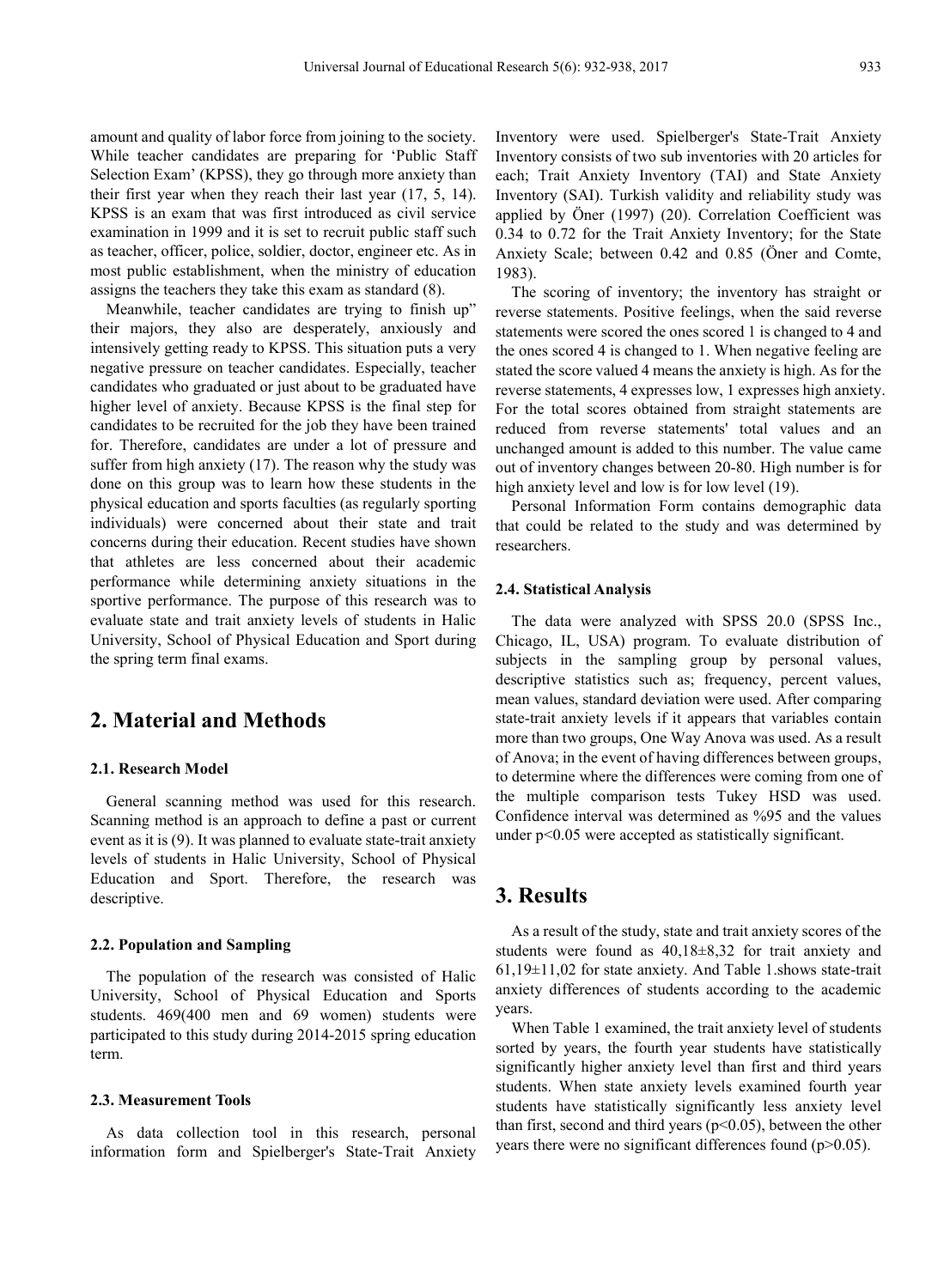amount and quality of labor force from joining to the society. While teacher candidates are preparing for 'Public Staff Selection Exam' (KPSS), they go through more anxiety than their first year when they reach their last year (17, 5, 14). KPSS is an exam that was first introduced as civil service examination in 1999 and it is set to recruit public staff such as teacher, officer, police, soldier, doctor, engineer etc. As in most public establishment, when the ministry of education assigns the teachers they take this exam as standard (8).

Meanwhile, teacher candidates are trying to finish up" their majors, they also are desperately, anxiously and intensively getting ready to KPSS. This situation puts a very negative pressure on teacher candidates. Especially, teacher candidates who graduated or just about to be graduated have higher level of anxiety. Because KPSS is the final step for candidates to be recruited for the job they have been trained for. Therefore, candidates are under a lot of pressure and suffer from high anxiety (17). The reason why the study was done on this group was to learn how these students in the physical education and sports faculties (as regularly sporting individuals) were concerned about their state and trait concerns during their education. Recent studies have shown that athletes are less concerned about their academic performance while determining anxiety situations in the sportive performance. The purpose of this research was to evaluate state and trait anxiety levels of students in Halic University, School of Physical Education and Sport during the spring term final exams.

## **2. Material and Methods**

#### **2.1. Research Model**

General scanning method was used for this research. Scanning method is an approach to define a past or current event as it is (9). It was planned to evaluate state-trait anxiety levels of students in Halic University, School of Physical Education and Sport. Therefore, the research was descriptive.

#### **2.2. Population and Sampling**

The population of the research was consisted of Halic University, School of Physical Education and Sports students. 469(400 men and 69 women) students were participated to this study during 2014-2015 spring education term.

#### **2.3. Measurement Tools**

As data collection tool in this research, personal information form and Spielberger's State-Trait Anxiety

Inventory were used. Spielberger's State-Trait Anxiety Inventory consists of two sub inventories with 20 articles for each; Trait Anxiety Inventory (TAI) and State Anxiety Inventory (SAI). Turkish validity and reliability study was applied by Öner (1997) (20). Correlation Coefficient was 0.34 to 0.72 for the Trait Anxiety Inventory; for the State Anxiety Scale; between 0.42 and 0.85 (Öner and Comte, 1983).

The scoring of inventory; the inventory has straight or reverse statements. Positive feelings, when the said reverse statements were scored the ones scored 1 is changed to 4 and the ones scored 4 is changed to 1. When negative feeling are stated the score valued 4 means the anxiety is high. As for the reverse statements, 4 expresses low, 1 expresses high anxiety. For the total scores obtained from straight statements are reduced from reverse statements' total values and an unchanged amount is added to this number. The value came out of inventory changes between 20-80. High number is for high anxiety level and low is for low level (19).

Personal Information Form contains demographic data that could be related to the study and was determined by researchers.

#### **2.4. Statistical Analysis**

The data were analyzed with SPSS 20.0 (SPSS Inc., Chicago, IL, USA) program. To evaluate distribution of subjects in the sampling group by personal values, descriptive statistics such as; frequency, percent values, mean values, standard deviation were used. After comparing state-trait anxiety levels if it appears that variables contain more than two groups, One Way Anova was used. As a result of Anova; in the event of having differences between groups, to determine where the differences were coming from one of the multiple comparison tests Tukey HSD was used. Confidence interval was determined as %95 and the values under p<0.05 were accepted as statistically significant.

## **3. Results**

As a result of the study, state and trait anxiety scores of the students were found as 40,18±8,32 for trait anxiety and 61,19±11,02 for state anxiety. And Table 1.shows state-trait anxiety differences of students according to the academic years.

When Table 1 examined, the trait anxiety level of students sorted by years, the fourth year students have statistically significantly higher anxiety level than first and third years students. When state anxiety levels examined fourth year students have statistically significantly less anxiety level than first, second and third years ( $p<0.05$ ), between the other years there were no significant differences found (p>0.05).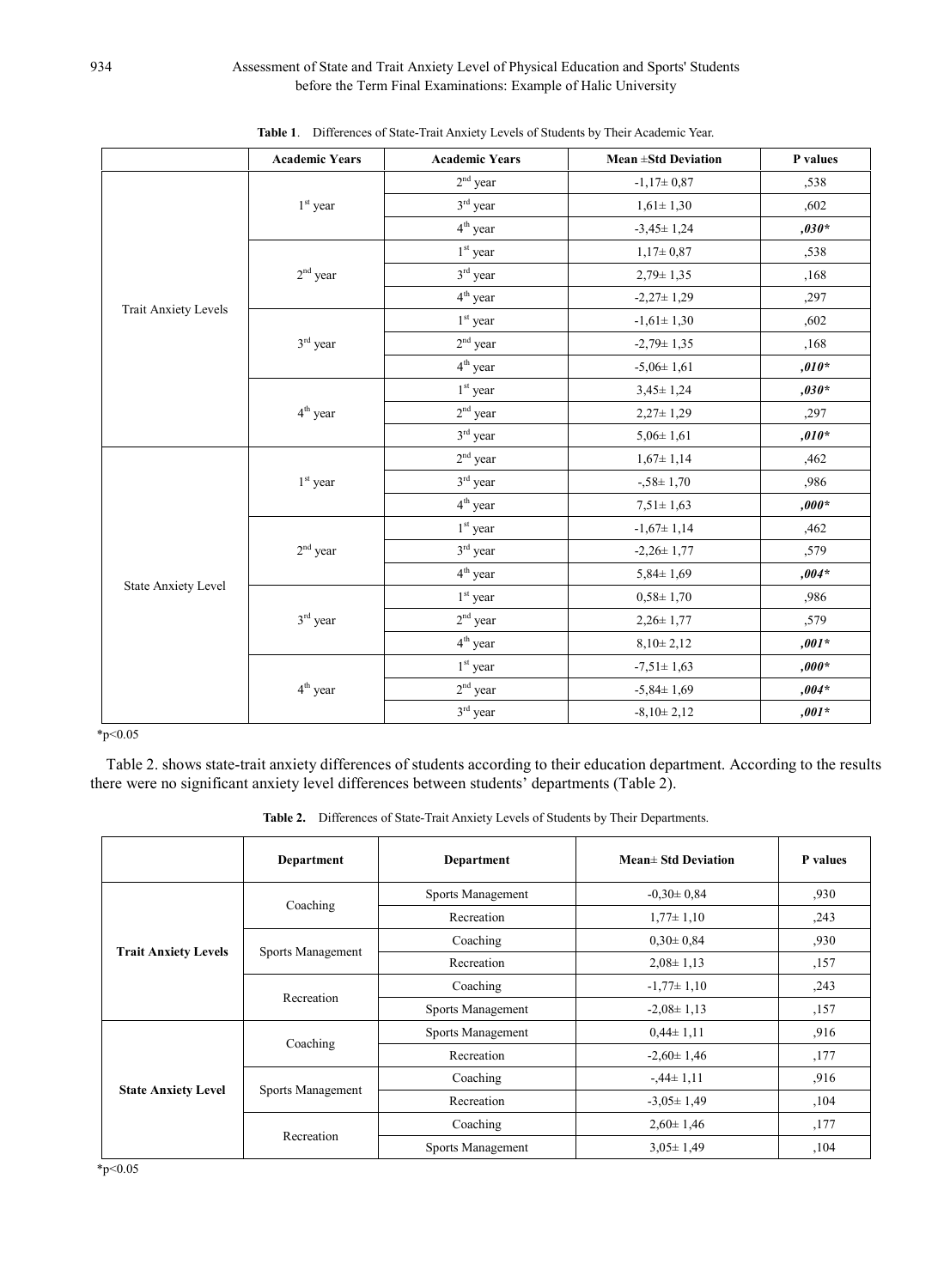#### 934 Assessment of State and Trait Anxiety Level of Physical Education and Sports' Students before the Term Final Examinations: Example of Halic University

|                             | <b>Academic Years</b> | <b>Academic Years</b> | Mean ±Std Deviation | P values |
|-----------------------------|-----------------------|-----------------------|---------------------|----------|
|                             |                       | $2nd$ year            | $-1,17\pm0,87$      | ,538     |
|                             | $1st$ year            | $3rd$ year            | $1,61 \pm 1,30$     | ,602     |
|                             |                       | $4th$ year            | $-3,45 \pm 1,24$    | $,030*$  |
|                             | $2nd$ year            | $1st$ year            | $1,17 \pm 0,87$     | ,538     |
|                             |                       | $3rd$ year            | $2,79 \pm 1,35$     | ,168     |
|                             |                       | $4th$ year            | $-2,27\pm 1,29$     | ,297     |
| <b>Trait Anxiety Levels</b> |                       | $1st$ year            | $-1,61 \pm 1,30$    | ,602     |
|                             | $3rd$ year            | $2nd$ year            | $-2,79 \pm 1,35$    | ,168     |
|                             |                       | $4^{\text{th}}$ year  | $-5,06 \pm 1,61$    | $,010*$  |
|                             | 4 <sup>th</sup> year  | $1st$ year            | $3,45 \pm 1,24$     | $,030*$  |
|                             |                       | $2nd$ year            | $2,27 \pm 1,29$     | ,297     |
|                             |                       | $3rd$ year            | $5,06 \pm 1,61$     | $,010*$  |
|                             | $1st$ year            | $2nd$ year            | $1,67 \pm 1,14$     | ,462     |
|                             |                       | $3rd$ year            | $-58 \pm 1,70$      | ,986     |
| <b>State Anxiety Level</b>  |                       | 4 <sup>th</sup> year  | $7,51 \pm 1,63$     | $,000*$  |
|                             |                       | $1st$ year            | $-1,67 \pm 1,14$    | ,462     |
|                             | $2nd$ year            | $3rd$ year            | $-2,26 \pm 1,77$    | ,579     |
|                             |                       | 4 <sup>th</sup> year  | $5,84 \pm 1,69$     | $,004*$  |
|                             | $3rd$ year            | $1st$ year            | $0,58 \pm 1,70$     | ,986     |
|                             |                       | $2nd$ year            | $2,26 \pm 1,77$     | ,579     |
|                             |                       | $4th$ year            | $8,10 \pm 2,12$     | $,001*$  |
|                             |                       | $1st$ year            | $-7,51 \pm 1,63$    | $,000*$  |
|                             | 4 <sup>th</sup> year  | $2nd$ year            | $-5,84 \pm 1,69$    | $,004*$  |
|                             |                       | $3rd$ year            | $-8,10 \pm 2,12$    | $,001*$  |

| <b>Table 1.</b> Differences of State-Trait Anxiety Levels of Students by Their Academic Year. |  |  |  |  |
|-----------------------------------------------------------------------------------------------|--|--|--|--|
|                                                                                               |  |  |  |  |

 $*p<0.05$ 

Table 2. shows state-trait anxiety differences of students according to their education department. According to the results there were no significant anxiety level differences between students' departments (Table 2).

**Table 2.** Differences of State-Trait Anxiety Levels of Students by Their Departments.

|                             | <b>Department</b> | <b>Department</b> | $Mean \pm Std$ Deviation | P values |
|-----------------------------|-------------------|-------------------|--------------------------|----------|
| <b>Trait Anxiety Levels</b> | Coaching          | Sports Management | $-0.30 \pm 0.84$         | ,930     |
|                             |                   | Recreation        | $1,77 \pm 1,10$          | ,243     |
|                             | Sports Management | Coaching          | $0.30 \pm 0.84$          | ,930     |
|                             |                   | Recreation        | $2,08 \pm 1,13$          | ,157     |
|                             | Recreation        | Coaching          | $-1,77\pm1,10$           | ,243     |
|                             |                   | Sports Management | $-2,08 \pm 1,13$         | ,157     |
| <b>State Anxiety Level</b>  |                   | Sports Management | $0.44 \pm 1.11$          | ,916     |
|                             | Coaching          | Recreation        | $-2,60 \pm 1,46$         | ,177     |
|                             | Sports Management | Coaching          | $-44\pm 1.11$            | ,916     |
|                             |                   | Recreation        | $-3,05\pm1,49$           | ,104     |
|                             | Recreation        | Coaching          | $2,60 \pm 1,46$          | ,177     |
|                             |                   | Sports Management | $3.05 \pm 1.49$          | ,104     |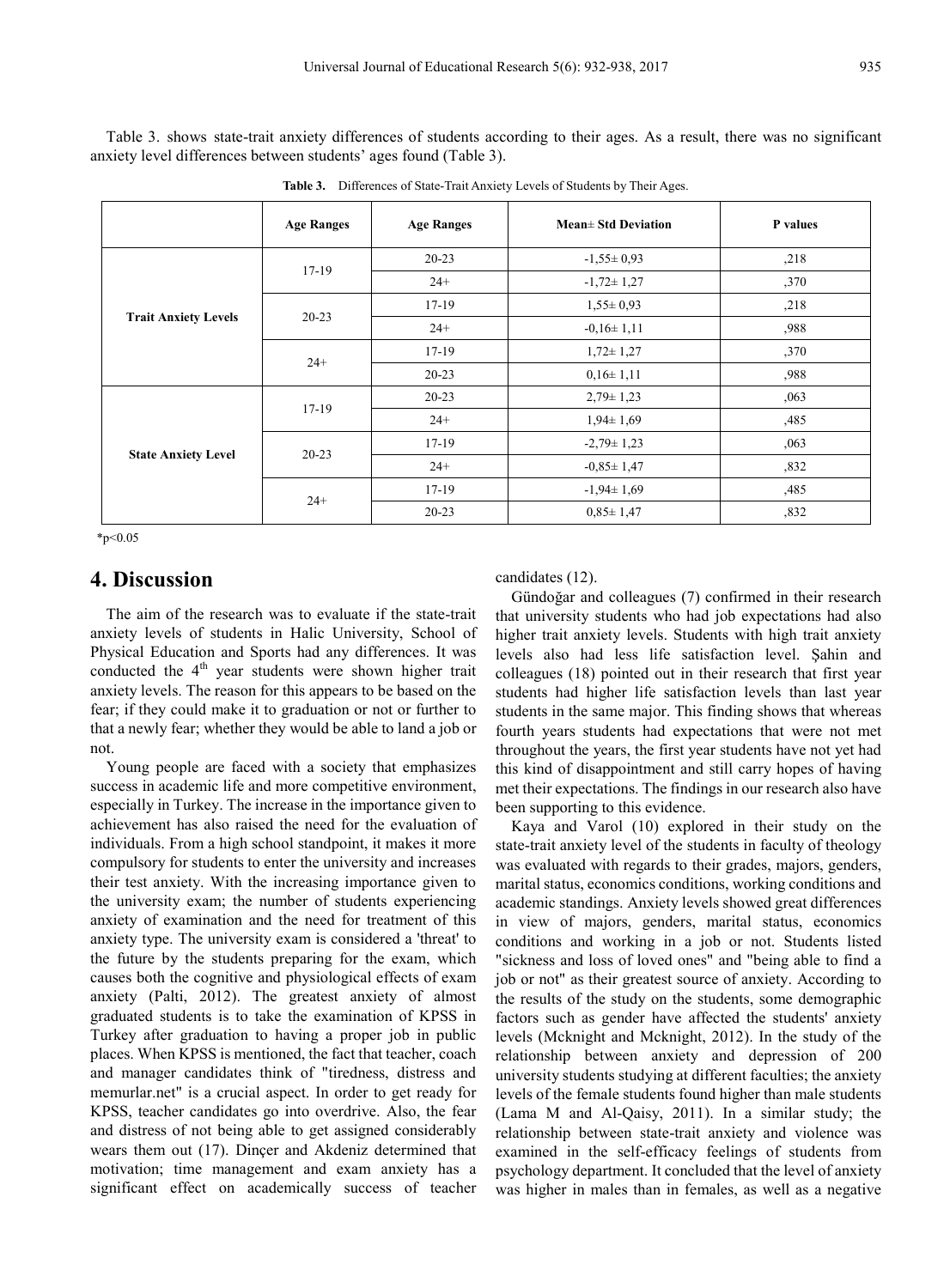Table 3. shows state-trait anxiety differences of students according to their ages. As a result, there was no significant anxiety level differences between students' ages found (Table 3).

**Table 3.** Differences of State-Trait Anxiety Levels of Students by Their Ages.

|                             | <b>Age Ranges</b> | <b>Age Ranges</b> | <b>Mean</b> ± Std Deviation | P values |
|-----------------------------|-------------------|-------------------|-----------------------------|----------|
| <b>Trait Anxiety Levels</b> | $17-19$           | $20 - 23$         | $-1,55\pm0.93$              | ,218     |
|                             |                   | $24+$             | $-1,72 \pm 1,27$            | ,370     |
|                             | $20 - 23$         | $17-19$           | $1,55 \pm 0.93$             | ,218     |
|                             |                   | $24+$             | $-0.16 \pm 1.11$            | ,988     |
|                             | $24+$             | $17-19$           | $1,72 \pm 1,27$             | ,370     |
|                             |                   | $20 - 23$         | $0,16 \pm 1,11$             | ,988     |
| <b>State Anxiety Level</b>  | $17-19$           | $20 - 23$         | $2,79 \pm 1,23$             | ,063     |
|                             |                   | $24+$             | $1,94 \pm 1,69$             | ,485     |
|                             | $20 - 23$         | $17-19$           | $-2,79 \pm 1,23$            | ,063     |
|                             |                   | $24+$             | $-0.85 \pm 1.47$            | ,832     |
|                             | $24+$             | $17-19$           | $-1,94 \pm 1,69$            | ,485     |
|                             |                   | $20 - 23$         | $0,85 \pm 1,47$             | ,832     |

 $*p<0.05$ 

### **4. Discussion**

The aim of the research was to evaluate if the state-trait anxiety levels of students in Halic University, School of Physical Education and Sports had any differences. It was conducted the  $4<sup>th</sup>$  year students were shown higher trait anxiety levels. The reason for this appears to be based on the fear; if they could make it to graduation or not or further to that a newly fear; whether they would be able to land a job or not.

Young people are faced with a society that emphasizes success in academic life and more competitive environment, especially in Turkey. The increase in the importance given to achievement has also raised the need for the evaluation of individuals. From a high school standpoint, it makes it more compulsory for students to enter the university and increases their test anxiety. With the increasing importance given to the university exam; the number of students experiencing anxiety of examination and the need for treatment of this anxiety type. The university exam is considered a 'threat' to the future by the students preparing for the exam, which causes both the cognitive and physiological effects of exam anxiety (Palti, 2012). The greatest anxiety of almost graduated students is to take the examination of KPSS in Turkey after graduation to having a proper job in public places. When KPSS is mentioned, the fact that teacher, coach and manager candidates think of "tiredness, distress and memurlar.net" is a crucial aspect. In order to get ready for KPSS, teacher candidates go into overdrive. Also, the fear and distress of not being able to get assigned considerably wears them out (17). Dinçer and Akdeniz determined that motivation; time management and exam anxiety has a significant effect on academically success of teacher

candidates (12).

Gündoğar and colleagues (7) confirmed in their research that university students who had job expectations had also higher trait anxiety levels. Students with high trait anxiety levels also had less life satisfaction level. Şahin and colleagues (18) pointed out in their research that first year students had higher life satisfaction levels than last year students in the same major. This finding shows that whereas fourth years students had expectations that were not met throughout the years, the first year students have not yet had this kind of disappointment and still carry hopes of having met their expectations. The findings in our research also have been supporting to this evidence.

Kaya and Varol (10) explored in their study on the state-trait anxiety level of the students in faculty of theology was evaluated with regards to their grades, majors, genders, marital status, economics conditions, working conditions and academic standings. Anxiety levels showed great differences in view of majors, genders, marital status, economics conditions and working in a job or not. Students listed "sickness and loss of loved ones" and "being able to find a job or not" as their greatest source of anxiety. According to the results of the study on the students, some demographic factors such as gender have affected the students' anxiety levels (Mcknight and Mcknight, 2012). In the study of the relationship between anxiety and depression of 200 university students studying at different faculties; the anxiety levels of the female students found higher than male students (Lama M and Al-Qaisy, 2011). In a similar study; the relationship between state-trait anxiety and violence was examined in the self-efficacy feelings of students from psychology department. It concluded that the level of anxiety was higher in males than in females, as well as a negative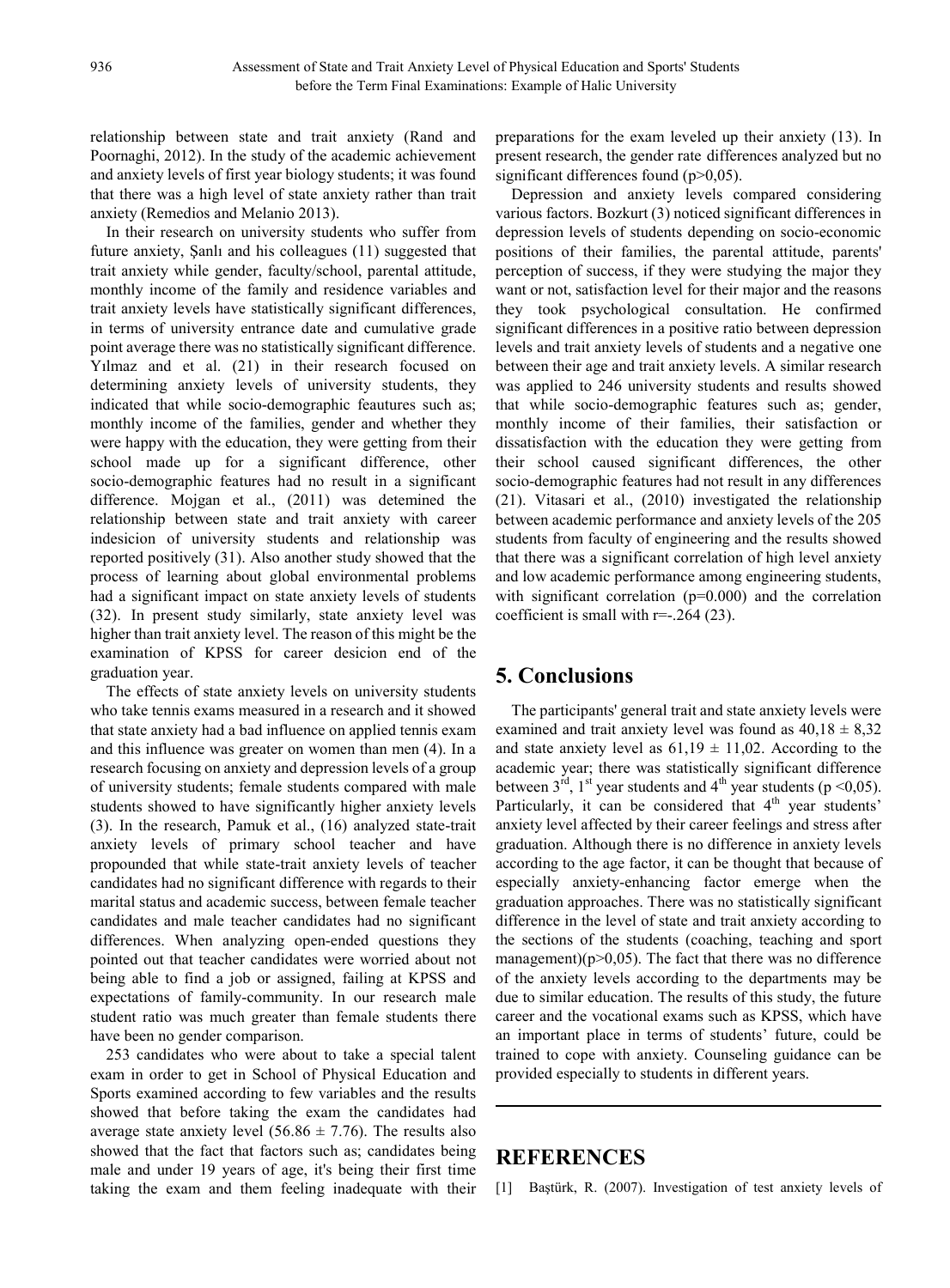relationship between state and trait anxiety (Rand and Poornaghi, 2012). In the study of the academic achievement and anxiety levels of first year biology students; it was found that there was a high level of state anxiety rather than trait anxiety (Remedios and Melanio 2013).

In their research on university students who suffer from future anxiety, Şanlı and his colleagues (11) suggested that trait anxiety while gender, faculty/school, parental attitude, monthly income of the family and residence variables and trait anxiety levels have statistically significant differences, in terms of university entrance date and cumulative grade point average there was no statistically significant difference. Yılmaz and et al. (21) in their research focused on determining anxiety levels of university students, they indicated that while socio-demographic feautures such as; monthly income of the families, gender and whether they were happy with the education, they were getting from their school made up for a significant difference, other socio-demographic features had no result in a significant difference. Mojgan et al., (2011) was detemined the relationship between state and trait anxiety with career indesicion of university students and relationship was reported positively (31). Also another study showed that the process of learning about global environmental problems had a significant impact on state anxiety levels of students (32). In present study similarly, state anxiety level was higher than trait anxiety level. The reason of this might be the examination of KPSS for career desicion end of the graduation year.

The effects of state anxiety levels on university students who take tennis exams measured in a research and it showed that state anxiety had a bad influence on applied tennis exam and this influence was greater on women than men (4). In a research focusing on anxiety and depression levels of a group of university students; female students compared with male students showed to have significantly higher anxiety levels (3). In the research, Pamuk et al., (16) analyzed state-trait anxiety levels of primary school teacher and have propounded that while state-trait anxiety levels of teacher candidates had no significant difference with regards to their marital status and academic success, between female teacher candidates and male teacher candidates had no significant differences. When analyzing open-ended questions they pointed out that teacher candidates were worried about not being able to find a job or assigned, failing at KPSS and expectations of family-community. In our research male student ratio was much greater than female students there have been no gender comparison.

253 candidates who were about to take a special talent exam in order to get in School of Physical Education and Sports examined according to few variables and the results showed that before taking the exam the candidates had average state anxiety level (56.86  $\pm$  7.76). The results also showed that the fact that factors such as; candidates being male and under 19 years of age, it's being their first time taking the exam and them feeling inadequate with their preparations for the exam leveled up their anxiety (13). In present research, the gender rate differences analyzed but no significant differences found (p>0,05).

Depression and anxiety levels compared considering various factors. Bozkurt (3) noticed significant differences in depression levels of students depending on socio-economic positions of their families, the parental attitude, parents' perception of success, if they were studying the major they want or not, satisfaction level for their major and the reasons they took psychological consultation. He confirmed significant differences in a positive ratio between depression levels and trait anxiety levels of students and a negative one between their age and trait anxiety levels. A similar research was applied to 246 university students and results showed that while socio-demographic features such as; gender, monthly income of their families, their satisfaction or dissatisfaction with the education they were getting from their school caused significant differences, the other socio-demographic features had not result in any differences (21). Vitasari et al., (2010) investigated the relationship between academic performance and anxiety levels of the 205 students from faculty of engineering and the results showed that there was a significant correlation of high level anxiety and low academic performance among engineering students, with significant correlation (p=0.000) and the correlation coefficient is small with r=-.264 (23).

# **5. Conclusions**

The participants' general trait and state anxiety levels were examined and trait anxiety level was found as  $40,18 \pm 8,32$ and state anxiety level as  $61,19 \pm 11,02$ . According to the academic year; there was statistically significant difference between  $3^{\text{rd}}$ ,  $1^{\text{st}}$  year students and  $4^{\text{th}}$  year students (p <0,05). Particularly, it can be considered that  $4<sup>th</sup>$  year students' anxiety level affected by their career feelings and stress after graduation. Although there is no difference in anxiety levels according to the age factor, it can be thought that because of especially anxiety-enhancing factor emerge when the graduation approaches. There was no statistically significant difference in the level of state and trait anxiety according to the sections of the students (coaching, teaching and sport management) $(p>0,05)$ . The fact that there was no difference of the anxiety levels according to the departments may be due to similar education. The results of this study, the future career and the vocational exams such as KPSS, which have an important place in terms of students' future, could be trained to cope with anxiety. Counseling guidance can be provided especially to students in different years.

# **REFERENCES**

[1] Baştürk, R. (2007). Investigation of test anxiety levels of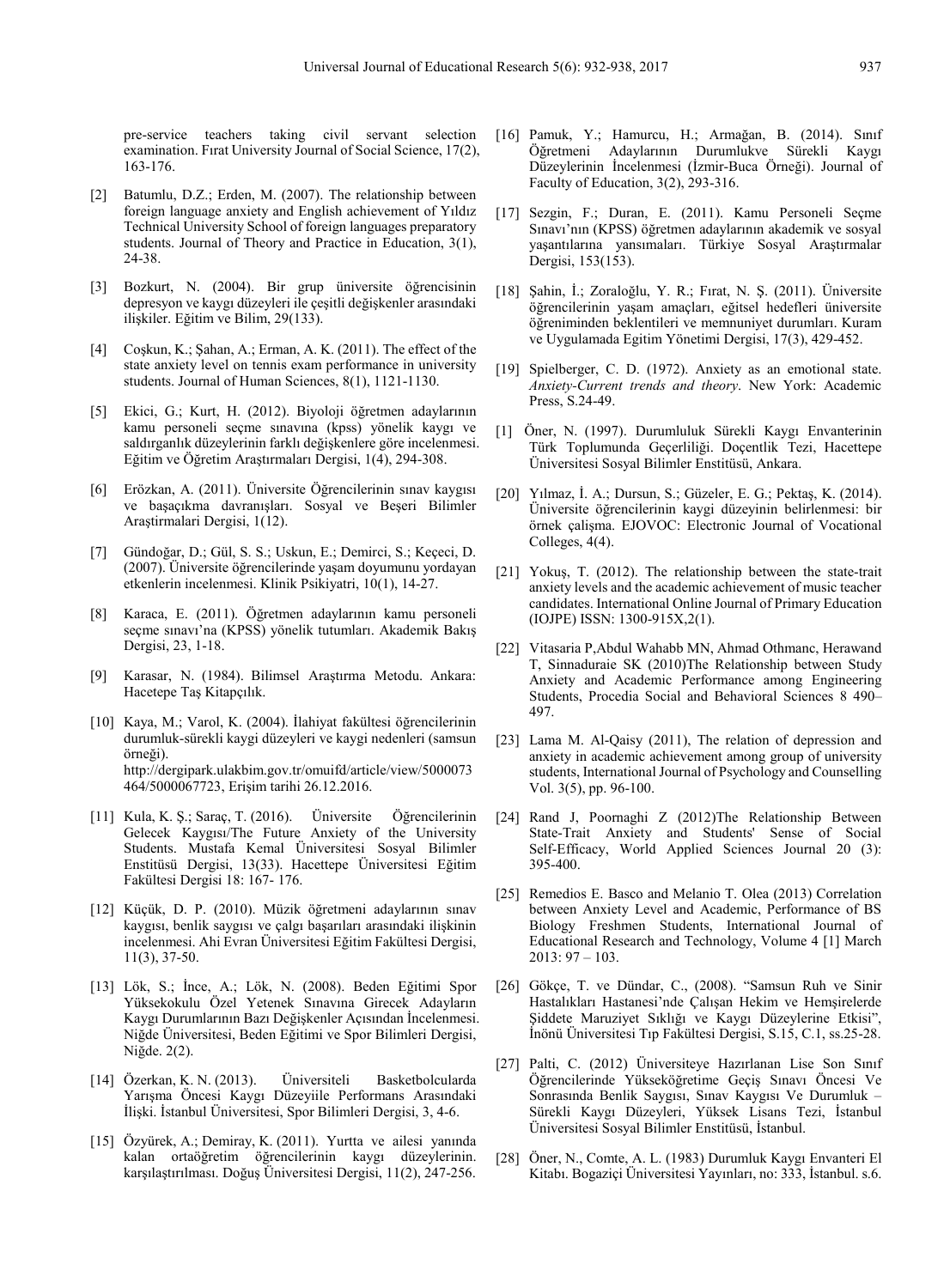pre-service teachers taking civil servant selection examination. Fırat University Journal of Social Science, 17(2), 163-176.

- [2] Batumlu, D.Z.; Erden, M. (2007). The relationship between foreign language anxiety and English achievement of Yıldız Technical University School of foreign languages preparatory students. Journal of Theory and Practice in Education, 3(1), 24-38.
- [3] Bozkurt, N. (2004). Bir grup üniversite öğrencisinin depresyon ve kaygı düzeyleri ile çeşitli değişkenler arasındaki ilişkiler. Eğitim ve Bilim, 29(133).
- [4] Coşkun, K.; Şahan, A.; Erman, A. K. (2011). The effect of the state anxiety level on tennis exam performance in university students. Journal of Human Sciences, 8(1), 1121-1130.
- [5] Ekici, G.; Kurt, H. (2012). Biyoloji öğretmen adaylarının kamu personeli seçme sınavına (kpss) yönelik kaygı ve saldırganlık düzeylerinin farklı değişkenlere göre incelenmesi. Eğitim ve Öğretim Araştırmaları Dergisi, 1(4), 294-308.
- [6] Erözkan, A. (2011). Üniversite Öğrencilerinin sınav kaygısı ve başaçıkma davranışları. Sosyal ve Beşeri Bilimler Araştirmalari Dergisi, 1(12).
- [7] Gündoğar, D.; Gül, S. S.; Uskun, E.; Demirci, S.; Keçeci, D. (2007). Üniversite öğrencilerinde yaşam doyumunu yordayan etkenlerin incelenmesi. Klinik Psikiyatri, 10(1), 14-27.
- [8] Karaca, E. (2011). Öğretmen adaylarının kamu personeli seçme sınavı'na (KPSS) yönelik tutumları. Akademik Bakış Dergisi, 23, 1-18.
- [9] Karasar, N. (1984). Bilimsel Araştırma Metodu. Ankara: Hacetepe Taş Kitapçılık.
- [10] Kaya, M.; Varol, K. (2004). İlahiyat fakültesi öğrencilerinin durumluk-sürekli kaygi düzeyleri ve kaygi nedenleri (samsun örneği). http://dergipark.ulakbim.gov.tr/omuifd/article/view/5000073 464/5000067723, Erişim tarihi 26.12.2016.
- [11] Kula, K. Ş.; Saraç, T. (2016). Üniversite Öğrencilerinin Gelecek Kaygısı/The Future Anxiety of the University Students. Mustafa Kemal Üniversitesi Sosyal Bilimler Enstitüsü Dergisi, 13(33). Hacettepe Üniversitesi Eğitim Fakültesi Dergisi 18: 167- 176.
- [12] Küçük, D. P. (2010). Müzik öğretmeni adaylarının sınav kaygısı, benlik saygısı ve çalgı başarıları arasındaki ilişkinin incelenmesi. Ahi Evran Üniversitesi Eğitim Fakültesi Dergisi, 11(3), 37-50.
- [13] Lök, S.; İnce, A.; Lök, N. (2008). Beden Eğitimi Spor Yüksekokulu Özel Yetenek Sınavına Girecek Adayların Kaygı Durumlarının Bazı Değişkenler Açısından İncelenmesi. Niğde Üniversitesi, Beden Eğitimi ve Spor Bilimleri Dergisi, Niğde. 2(2).
- [14] Özerkan, K. N. (2013). Üniversiteli Basketbolcularda Yarışma Öncesi Kaygı Düzeyiile Performans Arasındaki İlişki. İstanbul Üniversitesi, Spor Bilimleri Dergisi, 3, 4-6.
- [15] Özyürek, A.; Demiray, K. (2011). Yurtta ve ailesi yanında kalan ortaöğretim öğrencilerinin kaygı düzeylerinin. karşılaştırılması. Doğuş Üniversitesi Dergisi, 11(2), 247-256.
- [16] Pamuk, Y.; Hamurcu, H.; Armağan, B. (2014). Sınıf Öğretmeni Adaylarının Durumlukve Sürekli Kaygı Düzeylerinin İncelenmesi (İzmir-Buca Örneği). Journal of Faculty of Education, 3(2), 293-316.
- [17] Sezgin, F.; Duran, E. (2011). Kamu Personeli Seçme Sınavı'nın (KPSS) öğretmen adaylarının akademik ve sosyal yaşantılarına yansımaları. Türkiye Sosyal Araştırmalar Dergisi, 153(153).
- [18] Şahin, İ.; Zoraloğlu, Y. R.; Fırat, N. Ş. (2011). Üniversite öğrencilerinin yaşam amaçları, eğitsel hedefleri üniversite öğreniminden beklentileri ve memnuniyet durumları. Kuram ve Uygulamada Egitim Yönetimi Dergisi, 17(3), 429-452.
- [19] Spielberger, C. D. (1972). Anxiety as an emotional state. *Anxiety-Current trends and theory*. New York: Academic Press, S.24-49.
- [1] Öner, N. (1997). Durumluluk Sürekli Kaygı Envanterinin Türk Toplumunda Geçerliliği. Doçentlik Tezi, Hacettepe Üniversitesi Sosyal Bilimler Enstitüsü, Ankara.
- [20] Yılmaz, İ. A.; Dursun, S.; Güzeler, E. G.; Pektaş, K. (2014). Üniversite öğrencilerinin kaygi düzeyinin belirlenmesi: bir örnek çalişma. EJOVOC: Electronic Journal of Vocational Colleges, 4(4).
- [21] Yokus, T. (2012). The relationship between the state-trait anxiety levels and the academic achievement of music teacher candidates. International Online Journal of Primary Education (IOJPE) ISSN: 1300-915X,2(1).
- [22] Vitasaria P,Abdul Wahabb MN, Ahmad Othmanc, Herawand T, Sinnaduraie SK (2010)The Relationship between Study Anxiety and Academic Performance among Engineering Students, Procedia Social and Behavioral Sciences 8 490– 497.
- [23] Lama M. Al-Qaisy (2011), The relation of depression and anxiety in academic achievement among group of university students, International Journal of Psychology and Counselling Vol. 3(5), pp. 96-100.
- [24] Rand J, Poornaghi Z (2012)The Relationship Between State-Trait Anxiety and Students' Sense of Social Self-Efficacy, World Applied Sciences Journal 20 (3): 395-400.
- [25] Remedios E. Basco and Melanio T. Olea (2013) Correlation between Anxiety Level and Academic, Performance of BS Biology Freshmen Students, International Journal of Educational Research and Technology, Volume 4 [1] March 2013: 97 – 103.
- [26] Gökçe, T. ve Dündar, C., (2008). "Samsun Ruh ve Sinir Hastalıkları Hastanesi'nde Çalışan Hekim ve Hemşirelerde Şiddete Maruziyet Sıklığı ve Kaygı Düzeylerine Etkisi", İnönü Üniversitesi Tıp Fakültesi Dergisi, S.15, C.1, ss.25-28.
- [27] Palti, C. (2012) Üniversiteye Hazırlanan Lise Son Sınıf Öğrencilerinde Yükseköğretime Geçiş Sınavı Öncesi Ve Sonrasında Benlik Saygısı, Sınav Kaygısı Ve Durumluk – Sürekli Kaygı Düzeyleri, Yüksek Lisans Tezi, İstanbul Üniversitesi Sosyal Bilimler Enstitüsü, İstanbul.
- [28] Öner, N., Comte, A. L. (1983) Durumluk Kaygı Envanteri El Kitabı. Bogaziçi Üniversitesi Yayınları, no: 333, İstanbul. s.6.